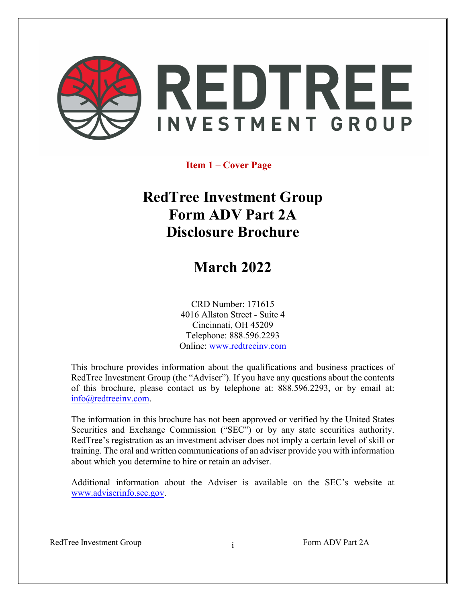

# **Item 1 – Cover Page**

# **RedTree Investment Group Form ADV Part 2A Disclosure Brochure**

# **March 2022**

CRD Number: 171615 4016 Allston Street - Suite 4 Cincinnati, OH 45209 Telephone: 888.596.2293 Online: [www.redtreeinv.com](file://san/home/kasj/NRPortbl/CN/KASJ/www.redtreeinv.com)

This brochure provides information about the qualifications and business practices of RedTree Investment Group (the "Adviser"). If you have any questions about the contents of this brochure, please contact us by telephone at: 888.596.2293, or by email at: [info@redtreeinv.com.](mailto:info@redtreeinv.com)

The information in this brochure has not been approved or verified by the United States Securities and Exchange Commission ("SEC") or by any state securities authority. RedTree's registration as an investment adviser does not imply a certain level of skill or training. The oral and written communications of an adviser provide you with information about which you determine to hire or retain an adviser.

Additional information about the Adviser is available on the SEC's website at [www.adviserinfo.sec.gov.](file://san/home/kasj/NRPortbl/CN/KASJ/www.adviserinfo.sec.gov)

RedTree Investment Group Form ADV Part 2A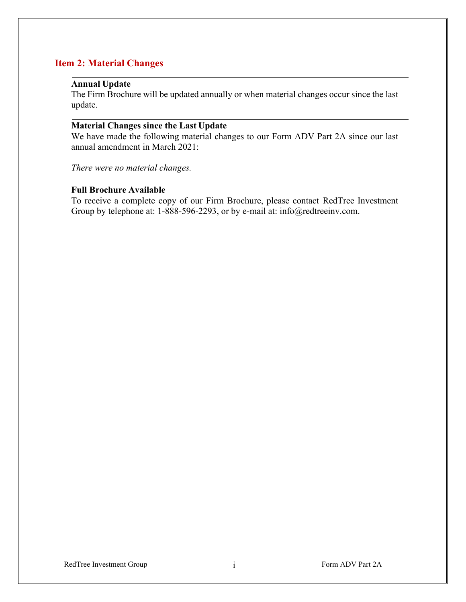# <span id="page-1-0"></span>**Item 2: Material Changes**

# <span id="page-1-1"></span>**Annual Update**

The Firm Brochure will be updated annually or when material changes occur since the last update.

## <span id="page-1-2"></span>**Material Changes since the Last Update**

We have made the following material changes to our Form ADV Part 2A since our last annual amendment in March 2021:

*There were no material changes.* 

## <span id="page-1-3"></span>**Full Brochure Available**

To receive a complete copy of our Firm Brochure, please contact RedTree Investment Group by telephone at: 1-888-596-2293, or by e-mail at: info@redtreeinv.com.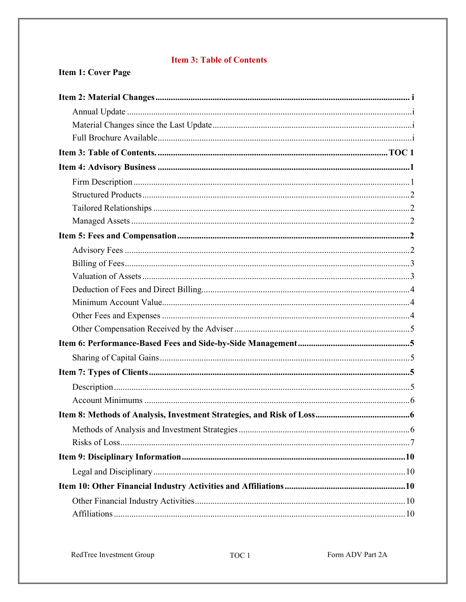# **Item 3: Table of Contents**

# Item 1: Cover Page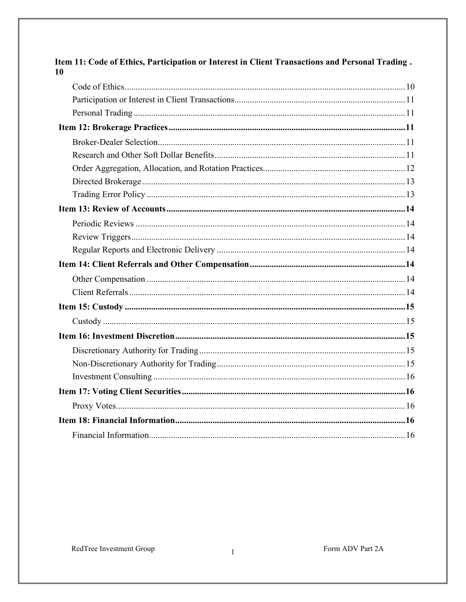<span id="page-3-0"></span>

| 10 |  |
|----|--|
|    |  |
|    |  |
|    |  |
|    |  |
|    |  |
|    |  |
|    |  |
|    |  |
|    |  |
|    |  |
|    |  |
|    |  |
|    |  |
|    |  |
|    |  |
|    |  |
|    |  |
|    |  |
|    |  |
|    |  |
|    |  |
|    |  |
|    |  |
|    |  |
|    |  |
|    |  |

Item 11: Code of Ethics, Participation or Interest in Client Transactions and Personal Trading.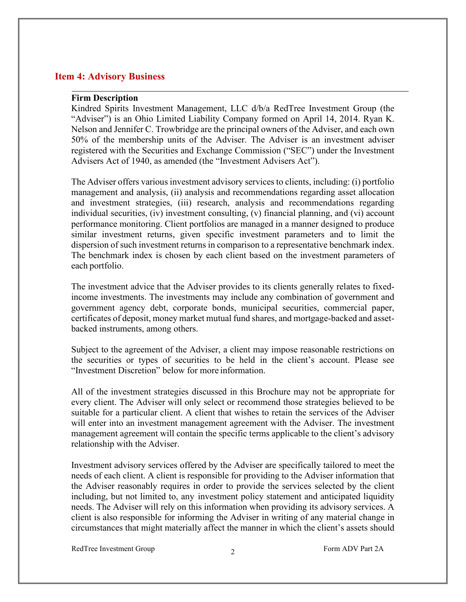## **Item 4: Advisory Business**

#### <span id="page-4-0"></span>**Firm Description**

Kindred Spirits Investment Management, LLC d/b/a RedTree Investment Group (the "Adviser") is an Ohio Limited Liability Company formed on April 14, 2014. Ryan K. Nelson and Jennifer C. Trowbridge are the principal owners of the Adviser, and each own 50% of the membership units of the Adviser. The Adviser is an investment adviser registered with the Securities and Exchange Commission ("SEC") under the Investment Advisers Act of 1940, as amended (the "Investment Advisers Act").

The Adviser offers various investment advisory services to clients, including: (i) portfolio management and analysis, (ii) analysis and recommendations regarding asset allocation and investment strategies, (iii) research, analysis and recommendations regarding individual securities, (iv) investment consulting, (v) financial planning, and (vi) account performance monitoring. Client portfolios are managed in a manner designed to produce similar investment returns, given specific investment parameters and to limit the dispersion of such investment returns in comparison to a representative benchmark index. The benchmark index is chosen by each client based on the investment parameters of each portfolio.

The investment advice that the Adviser provides to its clients generally relates to fixedincome investments. The investments may include any combination of government and government agency debt, corporate bonds, municipal securities, commercial paper, certificates of deposit, money market mutual fund shares, and mortgage-backed and assetbacked instruments, among others.

Subject to the agreement of the Adviser, a client may impose reasonable restrictions on the securities or types of securities to be held in the client's account. Please see "Investment Discretion" below for more information.

All of the investment strategies discussed in this Brochure may not be appropriate for every client. The Adviser will only select or recommend those strategies believed to be suitable for a particular client. A client that wishes to retain the services of the Adviser will enter into an investment management agreement with the Adviser. The investment management agreement will contain the specific terms applicable to the client's advisory relationship with the Adviser.

Investment advisory services offered by the Adviser are specifically tailored to meet the needs of each client. A client is responsible for providing to the Adviser information that the Adviser reasonably requires in order to provide the services selected by the client including, but not limited to, any investment policy statement and anticipated liquidity needs. The Adviser will rely on this information when providing its advisory services. A client is also responsible for informing the Adviser in writing of any material change in circumstances that might materially affect the manner in which the client's assets should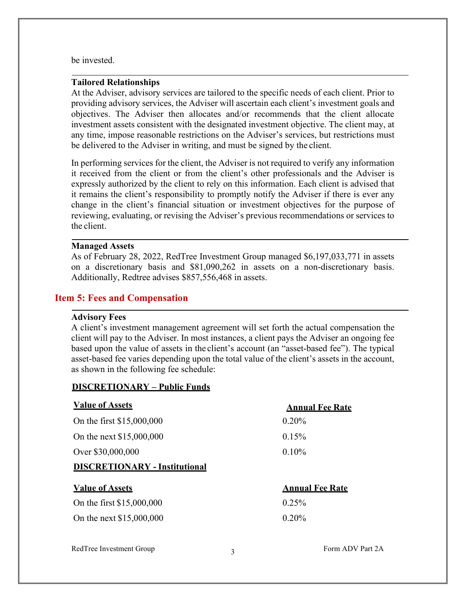be invested.

#### <span id="page-5-0"></span>**Tailored Relationships**

At the Adviser, advisory services are tailored to the specific needs of each client. Prior to providing advisory services, the Adviser will ascertain each client's investment goals and objectives. The Adviser then allocates and/or recommends that the client allocate investment assets consistent with the designated investment objective. The client may, at any time, impose reasonable restrictions on the Adviser's services, but restrictions must be delivered to the Adviser in writing, and must be signed by the client.

In performing services for the client, the Adviser is not required to verify any information it received from the client or from the client's other professionals and the Adviser is expressly authorized by the client to rely on this information. Each client is advised that it remains the client's responsibility to promptly notify the Adviser if there is ever any change in the client's financial situation or investment objectives for the purpose of reviewing, evaluating, or revising the Adviser's previous recommendations or services to the client.

### <span id="page-5-1"></span>**Managed Assets**

As of February 28, 2022, RedTree Investment Group managed \$6,197,033,771 in assets on a discretionary basis and \$81,090,262 in assets on a non-discretionary basis. Additionally, Redtree advises \$857,556,468 in assets.

## <span id="page-5-3"></span><span id="page-5-2"></span>**Item 5: Fees and Compensation**

## **Advisory Fees**

A client's investment management agreement will set forth the actual compensation the client will pay to the Adviser. In most instances, a client pays the Adviser an ongoing fee based upon the value of assets in the client's account (an "asset-based fee"). The typical asset-based fee varies depending upon the total value of the client's assets in the account, as shown in the following fee schedule:

## **DISCRETIONARY – Public Funds**

| <b>Value of Assets</b>               | <b>Annual Fee Rate</b> |
|--------------------------------------|------------------------|
| On the first \$15,000,000            | $0.20\%$               |
| On the next \$15,000,000             | 0.15%                  |
| Over \$30,000,000                    | $0.10\%$               |
| <b>DISCRETIONARY - Institutional</b> |                        |
| <b>Value of Assets</b>               | <b>Annual Fee Rate</b> |
| On the first \$15,000,000            | 0.25%                  |
| On the next \$15,000,000             | $0.20\%$               |
|                                      |                        |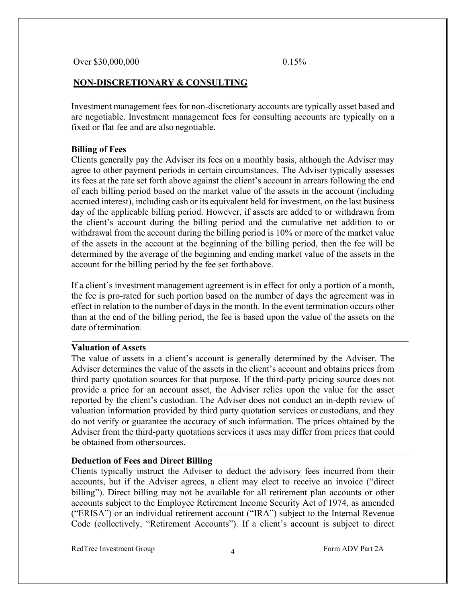## **NON-DISCRETIONARY & CONSULTING**

Investment management fees for non-discretionary accounts are typically asset based and are negotiable. Investment management fees for consulting accounts are typically on a fixed or flat fee and are also negotiable.

#### <span id="page-6-0"></span>**Billing of Fees**

Clients generally pay the Adviser its fees on a monthly basis, although the Adviser may agree to other payment periods in certain circumstances. The Adviser typically assesses its fees at the rate set forth above against the client's account in arrears following the end of each billing period based on the market value of the assets in the account (including accrued interest), including cash or its equivalent held for investment, on the last business day of the applicable billing period. However, if assets are added to or withdrawn from the client's account during the billing period and the cumulative net addition to or withdrawal from the account during the billing period is 10% or more of the market value of the assets in the account at the beginning of the billing period, then the fee will be determined by the average of the beginning and ending market value of the assets in the account for the billing period by the fee set forth above.

If a client's investment management agreement is in effect for only a portion of a month, the fee is pro-rated for such portion based on the number of days the agreement was in effect in relation to the number of days in the month. In the event termination occurs other than at the end of the billing period, the fee is based upon the value of the assets on the date oftermination.

#### <span id="page-6-1"></span>**Valuation of Assets**

The value of assets in a client's account is generally determined by the Adviser. The Adviser determines the value of the assets in the client's account and obtains prices from third party quotation sources for that purpose. If the third-party pricing source does not provide a price for an account asset, the Adviser relies upon the value for the asset reported by the client's custodian. The Adviser does not conduct an in-depth review of valuation information provided by third party quotation services or custodians, and they do not verify or guarantee the accuracy of such information. The prices obtained by the Adviser from the third-party quotations services it uses may differ from prices that could be obtained from other sources.

## <span id="page-6-2"></span>**Deduction of Fees and Direct Billing**

Clients typically instruct the Adviser to deduct the advisory fees incurred from their accounts, but if the Adviser agrees, a client may elect to receive an invoice ("direct billing"). Direct billing may not be available for all retirement plan accounts or other accounts subject to the Employee Retirement Income Security Act of 1974, as amended ("ERISA") or an individual retirement account ("IRA") subject to the Internal Revenue Code (collectively, "Retirement Accounts"). If a client's account is subject to direct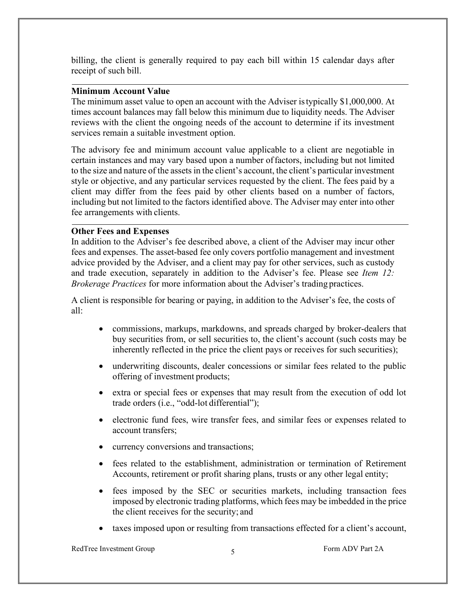billing, the client is generally required to pay each bill within 15 calendar days after receipt of such bill.

## <span id="page-7-0"></span>**Minimum Account Value**

The minimum asset value to open an account with the Adviser istypically \$1,000,000. At times account balances may fall below this minimum due to liquidity needs. The Adviser reviews with the client the ongoing needs of the account to determine if its investment services remain a suitable investment option.

The advisory fee and minimum account value applicable to a client are negotiable in certain instances and may vary based upon a number offactors, including but not limited to the size and nature of the assets in the client's account, the client's particular investment style or objective, and any particular services requested by the client. The fees paid by a client may differ from the fees paid by other clients based on a number of factors, including but not limited to the factors identified above. The Adviser may enter into other fee arrangements with clients.

## <span id="page-7-1"></span>**Other Fees and Expenses**

In addition to the Adviser's fee described above, a client of the Adviser may incur other fees and expenses. The asset-based fee only covers portfolio management and investment advice provided by the Adviser, and a client may pay for other services, such as custody and trade execution, separately in addition to the Adviser's fee. Please see *Item 12: Brokerage Practices* for more information about the Adviser's trading practices.

A client is responsible for bearing or paying, in addition to the Adviser's fee, the costs of all:

- commissions, markups, markdowns, and spreads charged by broker-dealers that buy securities from, or sell securities to, the client's account (such costs may be inherently reflected in the price the client pays or receives for such securities);
- underwriting discounts, dealer concessions or similar fees related to the public offering of investment products;
- extra or special fees or expenses that may result from the execution of odd lot trade orders (i.e., "odd-lot differential");
- electronic fund fees, wire transfer fees, and similar fees or expenses related to account transfers;
- currency conversions and transactions;
- fees related to the establishment, administration or termination of Retirement Accounts, retirement or profit sharing plans, trusts or any other legal entity;
- fees imposed by the SEC or securities markets, including transaction fees imposed by electronic trading platforms, which fees may be imbedded in the price the client receives for the security; and
- taxes imposed upon or resulting from transactions effected for a client's account,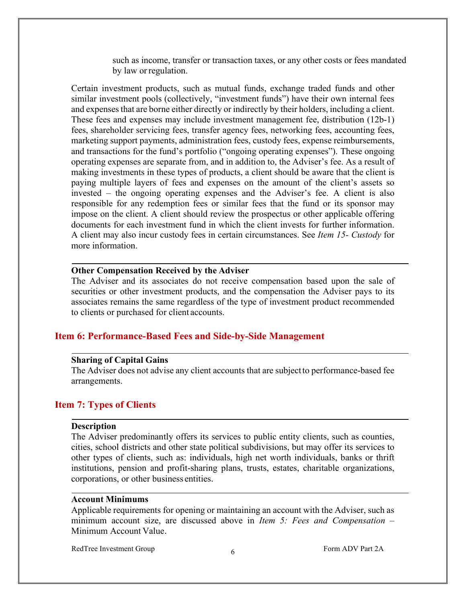such as income, transfer or transaction taxes, or any other costs or fees mandated by law orregulation.

Certain investment products, such as mutual funds, exchange traded funds and other similar investment pools (collectively, "investment funds") have their own internal fees and expenses that are borne either directly or indirectly by their holders, including a client. These fees and expenses may include investment management fee, distribution (12b-1) fees, shareholder servicing fees, transfer agency fees, networking fees, accounting fees, marketing support payments, administration fees, custody fees, expense reimbursements, and transactions for the fund's portfolio ("ongoing operating expenses"). These ongoing operating expenses are separate from, and in addition to, the Adviser's fee. As a result of making investments in these types of products, a client should be aware that the client is paying multiple layers of fees and expenses on the amount of the client's assets so invested – the ongoing operating expenses and the Adviser's fee. A client is also responsible for any redemption fees or similar fees that the fund or its sponsor may impose on the client. A client should review the prospectus or other applicable offering documents for each investment fund in which the client invests for further information. A client may also incur custody fees in certain circumstances. See *Item 15- Custody* for more information.

#### <span id="page-8-0"></span>**Other Compensation Received by the Adviser**

The Adviser and its associates do not receive compensation based upon the sale of securities or other investment products, and the compensation the Adviser pays to its associates remains the same regardless of the type of investment product recommended to clients or purchased for client accounts.

## <span id="page-8-1"></span>**Item 6: Performance-Based Fees and Side-by-Side Management**

#### <span id="page-8-2"></span>**Sharing of Capital Gains**

The Adviser does not advise any client accounts that are subjectto performance-based fee arrangements.

## <span id="page-8-3"></span>**Item 7: Types of Clients**

## <span id="page-8-4"></span>**Description**

The Adviser predominantly offers its services to public entity clients, such as counties, cities, school districts and other state political subdivisions, but may offer its services to other types of clients, such as: individuals, high net worth individuals, banks or thrift institutions, pension and profit-sharing plans, trusts, estates, charitable organizations, corporations, or other business entities.

## <span id="page-8-5"></span>**Account Minimums**

Applicable requirements for opening or maintaining an account with the Adviser, such as minimum account size, are discussed above in *Item 5: Fees and Compensation* – Minimum Account Value.

RedTree Investment Group 6 6 Form ADV Part 2A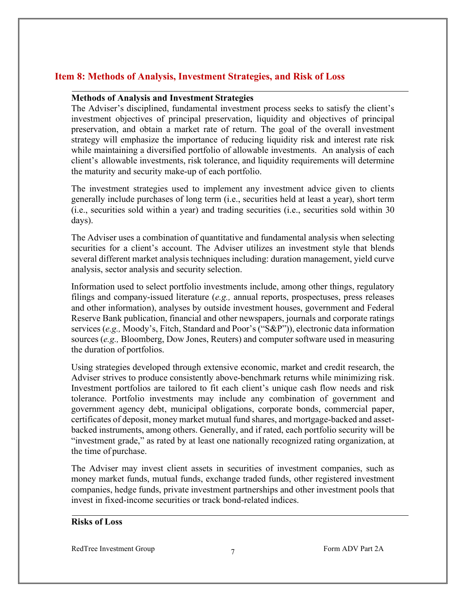# <span id="page-9-0"></span>**Item 8: Methods of Analysis, Investment Strategies, and Risk of Loss**

## <span id="page-9-1"></span>**Methods of Analysis and Investment Strategies**

The Adviser's disciplined, fundamental investment process seeks to satisfy the client's investment objectives of principal preservation, liquidity and objectives of principal preservation, and obtain a market rate of return. The goal of the overall investment strategy will emphasize the importance of reducing liquidity risk and interest rate risk while maintaining a diversified portfolio of allowable investments. An analysis of each client's allowable investments, risk tolerance, and liquidity requirements will determine the maturity and security make-up of each portfolio.

The investment strategies used to implement any investment advice given to clients generally include purchases of long term (i.e., securities held at least a year), short term (i.e., securities sold within a year) and trading securities (i.e., securities sold within 30 days).

The Adviser uses a combination of quantitative and fundamental analysis when selecting securities for a client's account. The Adviser utilizes an investment style that blends several different market analysis techniques including: duration management, yield curve analysis, sector analysis and security selection.

Information used to select portfolio investments include, among other things, regulatory filings and company-issued literature (*e.g.,* annual reports, prospectuses, press releases and other information), analyses by outside investment houses, government and Federal Reserve Bank publication, financial and other newspapers, journals and corporate ratings services (*e.g.,* Moody's, Fitch, Standard and Poor's ("S&P")), electronic data information sources (*e.g.,* Bloomberg, Dow Jones, Reuters) and computer software used in measuring the duration of portfolios.

Using strategies developed through extensive economic, market and credit research, the Adviser strives to produce consistently above-benchmark returns while minimizing risk. Investment portfolios are tailored to fit each client's unique cash flow needs and risk tolerance. Portfolio investments may include any combination of government and government agency debt, municipal obligations, corporate bonds, commercial paper, certificates of deposit, money market mutual fund shares, and mortgage-backed and assetbacked instruments, among others. Generally, and if rated, each portfolio security will be "investment grade," as rated by at least one nationally recognized rating organization, at the time of purchase.

The Adviser may invest client assets in securities of investment companies, such as money market funds, mutual funds, exchange traded funds, other registered investment companies, hedge funds, private investment partnerships and other investment pools that invest in fixed-income securities or track bond-related indices.

## **Risks of Loss**

RedTree Investment Group  $\frac{7}{7}$  Form ADV Part 2A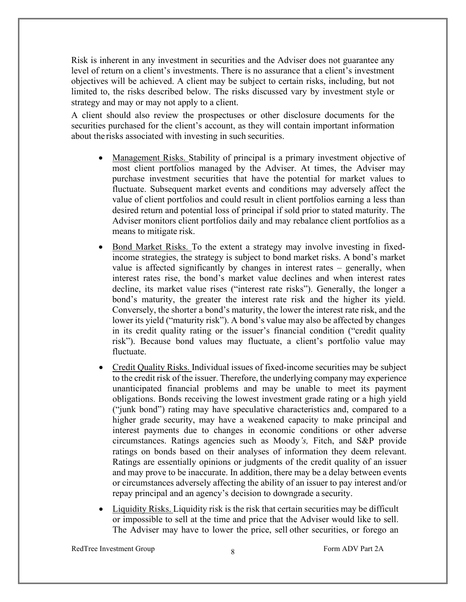Risk is inherent in any investment in securities and the Adviser does not guarantee any level of return on a client's investments. There is no assurance that a client's investment objectives will be achieved. A client may be subject to certain risks, including, but not limited to, the risks described below. The risks discussed vary by investment style or strategy and may or may not apply to a client.

<span id="page-10-0"></span>A client should also review the prospectuses or other disclosure documents for the securities purchased for the client's account, as they will contain important information about the risks associated with investing in such securities.

- Management Risks. Stability of principal is a primary investment objective of most client portfolios managed by the Adviser. At times, the Adviser may purchase investment securities that have the potential for market values to fluctuate. Subsequent market events and conditions may adversely affect the value of client portfolios and could result in client portfolios earning a less than desired return and potential loss of principal if sold prior to stated maturity. The Adviser monitors client portfolios daily and may rebalance client portfolios as a means to mitigate risk.
- Bond Market Risks. To the extent a strategy may involve investing in fixedincome strategies, the strategy is subject to bond market risks. A bond's market value is affected significantly by changes in interest rates – generally, when interest rates rise, the bond's market value declines and when interest rates decline, its market value rises ("interest rate risks"). Generally, the longer a bond's maturity, the greater the interest rate risk and the higher its yield. Conversely, the shorter a bond's maturity, the lower the interest rate risk, and the lower its yield ("maturity risk"). A bond's value may also be affected by changes in its credit quality rating or the issuer's financial condition ("credit quality risk"). Because bond values may fluctuate, a client's portfolio value may fluctuate.
- Credit Quality Risks. Individual issues of fixed-income securities may be subject to the credit risk of the issuer. Therefore, the underlying company may experience unanticipated financial problems and may be unable to meet its payment obligations. Bonds receiving the lowest investment grade rating or a high yield ("junk bond") rating may have speculative characteristics and, compared to a higher grade security, may have a weakened capacity to make principal and interest payments due to changes in economic conditions or other adverse circumstances. Ratings agencies such as Moody*'s,* Fitch, and S&P provide ratings on bonds based on their analyses of information they deem relevant. Ratings are essentially opinions or judgments of the credit quality of an issuer and may prove to be inaccurate. In addition, there may be a delay between events or circumstances adversely affecting the ability of an issuer to pay interest and/or repay principal and an agency's decision to downgrade a security.
- Liquidity Risks. Liquidity risk is the risk that certain securities may be difficult or impossible to sell at the time and price that the Adviser would like to sell. The Adviser may have to lower the price, sell other securities, or forego an

RedTree Investment Group 8 8 RedTree Investment Group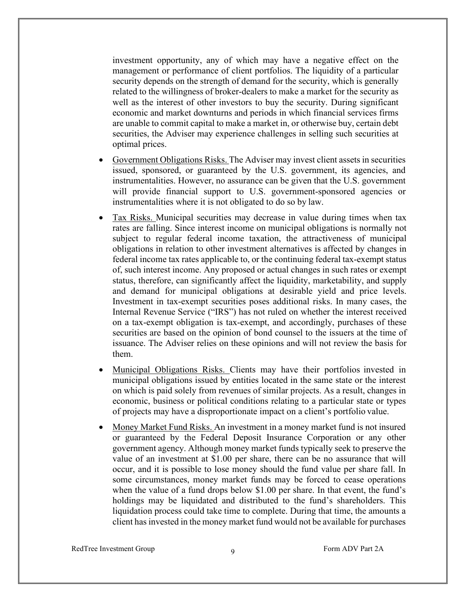investment opportunity, any of which may have a negative effect on the management or performance of client portfolios. The liquidity of a particular security depends on the strength of demand for the security, which is generally related to the willingness of broker-dealers to make a market for the security as well as the interest of other investors to buy the security. During significant economic and market downturns and periods in which financial services firms are unable to commit capital to make a market in, or otherwise buy, certain debt securities, the Adviser may experience challenges in selling such securities at optimal prices.

- Government Obligations Risks. The Adviser may invest client assets in securities issued, sponsored, or guaranteed by the U.S. government, its agencies, and instrumentalities. However, no assurance can be given that the U.S. government will provide financial support to U.S. government-sponsored agencies or instrumentalities where it is not obligated to do so by law.
- Tax Risks. Municipal securities may decrease in value during times when tax rates are falling. Since interest income on municipal obligations is normally not subject to regular federal income taxation, the attractiveness of municipal obligations in relation to other investment alternatives is affected by changes in federal income tax rates applicable to, or the continuing federal tax-exempt status of, such interest income. Any proposed or actual changes in such rates or exempt status, therefore, can significantly affect the liquidity, marketability, and supply and demand for municipal obligations at desirable yield and price levels. Investment in tax-exempt securities poses additional risks. In many cases, the Internal Revenue Service ("IRS") has not ruled on whether the interest received on a tax-exempt obligation is tax-exempt, and accordingly, purchases of these securities are based on the opinion of bond counsel to the issuers at the time of issuance. The Adviser relies on these opinions and will not review the basis for them.
- Municipal Obligations Risks. Clients may have their portfolios invested in municipal obligations issued by entities located in the same state or the interest on which is paid solely from revenues of similar projects. As a result, changes in economic, business or political conditions relating to a particular state or types of projects may have a disproportionate impact on a client's portfolio value.
- Money Market Fund Risks. An investment in a money market fund is not insured or guaranteed by the Federal Deposit Insurance Corporation or any other government agency. Although money market funds typically seek to preserve the value of an investment at \$1.00 per share, there can be no assurance that will occur, and it is possible to lose money should the fund value per share fall. In some circumstances, money market funds may be forced to cease operations when the value of a fund drops below \$1.00 per share. In that event, the fund's holdings may be liquidated and distributed to the fund's shareholders. This liquidation process could take time to complete. During that time, the amounts a client has invested in the money market fund would not be available for purchases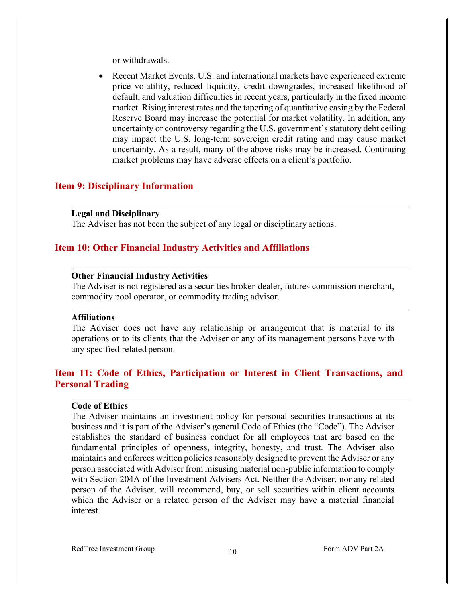or withdrawals.

• Recent Market Events. U.S. and international markets have experienced extreme price volatility, reduced liquidity, credit downgrades, increased likelihood of default, and valuation difficulties in recent years, particularly in the fixed income market. Rising interest rates and the tapering of quantitative easing by the Federal Reserve Board may increase the potential for market volatility. In addition, any uncertainty or controversy regarding the U.S. government's statutory debt ceiling may impact the U.S. long-term sovereign credit rating and may cause market uncertainty. As a result, many of the above risks may be increased. Continuing market problems may have adverse effects on a client's portfolio.

## <span id="page-12-0"></span>**Item 9: Disciplinary Information**

#### <span id="page-12-1"></span>**Legal and Disciplinary**

The Adviser has not been the subject of any legal or disciplinary actions.

## <span id="page-12-2"></span>**Item 10: Other Financial Industry Activities and Affiliations**

## <span id="page-12-3"></span>**Other Financial Industry Activities**

The Adviser is not registered as a securities broker-dealer, futures commission merchant, commodity pool operator, or commodity trading advisor.

#### <span id="page-12-4"></span>**Affiliations**

The Adviser does not have any relationship or arrangement that is material to its operations or to its clients that the Adviser or any of its management persons have with any specified related person.

# <span id="page-12-5"></span>**Item 11: Code of Ethics, Participation or Interest in Client Transactions, and Personal Trading**

## <span id="page-12-6"></span>**Code of Ethics**

The Adviser maintains an investment policy for personal securities transactions at its business and it is part of the Adviser's general Code of Ethics (the "Code"). The Adviser establishes the standard of business conduct for all employees that are based on the fundamental principles of openness, integrity, honesty, and trust. The Adviser also maintains and enforces written policies reasonably designed to prevent the Adviser or any person associated with Adviser from misusing material non-public information to comply with Section 204A of the Investment Advisers Act. Neither the Adviser, nor any related person of the Adviser, will recommend, buy, or sell securities within client accounts which the Adviser or a related person of the Adviser may have a material financial interest.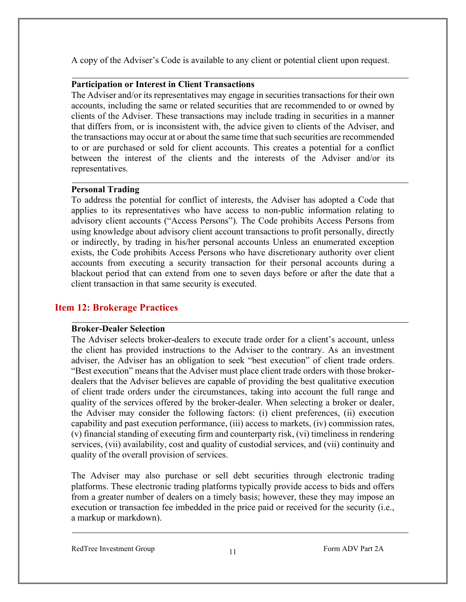A copy of the Adviser's Code is available to any client or potential client upon request.

## <span id="page-13-0"></span>**Participation or Interest in Client Transactions**

The Adviser and/or its representatives may engage in securities transactions for their own accounts, including the same or related securities that are recommended to or owned by clients of the Adviser. These transactions may include trading in securities in a manner that differs from, or is inconsistent with, the advice given to clients of the Adviser, and the transactions may occur at or about the same time that such securities are recommended to or are purchased or sold for client accounts. This creates a potential for a conflict between the interest of the clients and the interests of the Adviser and/or its representatives.

## <span id="page-13-1"></span>**Personal Trading**

To address the potential for conflict of interests, the Adviser has adopted a Code that applies to its representatives who have access to non-public information relating to advisory client accounts ("Access Persons"). The Code prohibits Access Persons from using knowledge about advisory client account transactions to profit personally, directly or indirectly, by trading in his/her personal accounts Unless an enumerated exception exists, the Code prohibits Access Persons who have discretionary authority over client accounts from executing a security transaction for their personal accounts during a blackout period that can extend from one to seven days before or after the date that a client transaction in that same security is executed.

# <span id="page-13-2"></span>**Item 12: Brokerage Practices**

## <span id="page-13-3"></span>**Broker-Dealer Selection**

The Adviser selects broker-dealers to execute trade order for a client's account, unless the client has provided instructions to the Adviser to the contrary. As an investment adviser, the Adviser has an obligation to seek "best execution" of client trade orders. "Best execution" means that the Adviser must place client trade orders with those brokerdealers that the Adviser believes are capable of providing the best qualitative execution of client trade orders under the circumstances, taking into account the full range and quality of the services offered by the broker-dealer. When selecting a broker or dealer, the Adviser may consider the following factors: (i) client preferences, (ii) execution capability and past execution performance, (iii) access to markets, (iv) commission rates, (v) financial standing of executing firm and counterparty risk, (vi) timeliness in rendering services, (vii) availability, cost and quality of custodial services, and (vii) continuity and quality of the overall provision of services.

The Adviser may also purchase or sell debt securities through electronic trading platforms. These electronic trading platforms typically provide access to bids and offers from a greater number of dealers on a timely basis; however, these they may impose an execution or transaction fee imbedded in the price paid or received for the security (i.e., a markup or markdown).

RedTree Investment Group 11 Form ADV Part 2A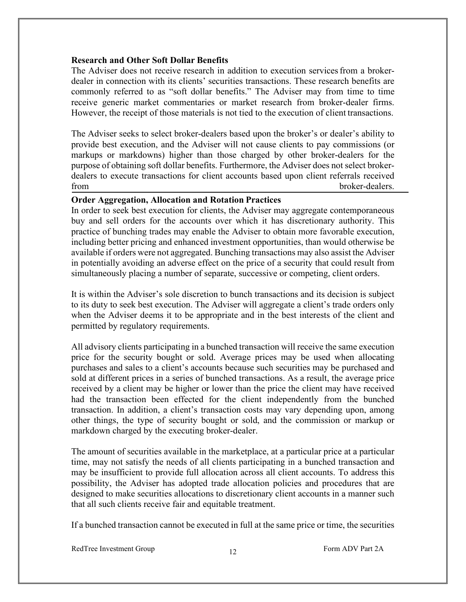## **Research and Other Soft Dollar Benefits**

The Adviser does not receive research in addition to execution services from a brokerdealer in connection with its clients' securities transactions. These research benefits are commonly referred to as "soft dollar benefits." The Adviser may from time to time receive generic market commentaries or market research from broker-dealer firms. However, the receipt of those materials is not tied to the execution of client transactions.

<span id="page-14-0"></span>The Adviser seeks to select broker-dealers based upon the broker's or dealer's ability to provide best execution, and the Adviser will not cause clients to pay commissions (or markups or markdowns) higher than those charged by other broker-dealers for the purpose of obtaining soft dollar benefits. Furthermore, the Adviser does not select brokerdealers to execute transactions for client accounts based upon client referrals received from broker-dealers.

### **Order Aggregation, Allocation and Rotation Practices**

In order to seek best execution for clients, the Adviser may aggregate contemporaneous buy and sell orders for the accounts over which it has discretionary authority. This practice of bunching trades may enable the Adviser to obtain more favorable execution, including better pricing and enhanced investment opportunities, than would otherwise be available if orders were not aggregated. Bunching transactions may also assist the Adviser in potentially avoiding an adverse effect on the price of a security that could result from simultaneously placing a number of separate, successive or competing, client orders.

It is within the Adviser's sole discretion to bunch transactions and its decision is subject to its duty to seek best execution. The Adviser will aggregate a client's trade orders only when the Adviser deems it to be appropriate and in the best interests of the client and permitted by regulatory requirements.

All advisory clients participating in a bunched transaction will receive the same execution price for the security bought or sold. Average prices may be used when allocating purchases and sales to a client's accounts because such securities may be purchased and sold at different prices in a series of bunched transactions. As a result, the average price received by a client may be higher or lower than the price the client may have received had the transaction been effected for the client independently from the bunched transaction. In addition, a client's transaction costs may vary depending upon, among other things, the type of security bought or sold, and the commission or markup or markdown charged by the executing broker-dealer.

The amount of securities available in the marketplace, at a particular price at a particular time, may not satisfy the needs of all clients participating in a bunched transaction and may be insufficient to provide full allocation across all client accounts. To address this possibility, the Adviser has adopted trade allocation policies and procedures that are designed to make securities allocations to discretionary client accounts in a manner such that all such clients receive fair and equitable treatment.

If a bunched transaction cannot be executed in full at the same price or time, the securities

RedTree Investment Group 12 Form ADV Part 2A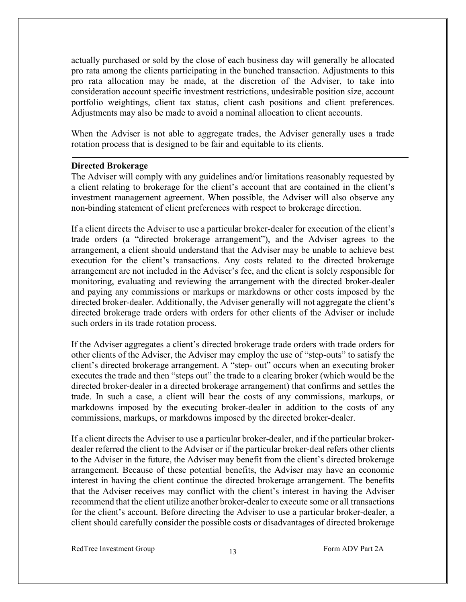actually purchased or sold by the close of each business day will generally be allocated pro rata among the clients participating in the bunched transaction. Adjustments to this pro rata allocation may be made, at the discretion of the Adviser, to take into consideration account specific investment restrictions, undesirable position size, account portfolio weightings, client tax status, client cash positions and client preferences. Adjustments may also be made to avoid a nominal allocation to client accounts.

When the Adviser is not able to aggregate trades, the Adviser generally uses a trade rotation process that is designed to be fair and equitable to its clients.

#### **Directed Brokerage**

The Adviser will comply with any guidelines and/or limitations reasonably requested by a client relating to brokerage for the client's account that are contained in the client's investment management agreement. When possible, the Adviser will also observe any non-binding statement of client preferences with respect to brokerage direction.

If a client directs the Adviser to use a particular broker-dealer for execution of the client's trade orders (a "directed brokerage arrangement"), and the Adviser agrees to the arrangement, a client should understand that the Adviser may be unable to achieve best execution for the client's transactions. Any costs related to the directed brokerage arrangement are not included in the Adviser's fee, and the client is solely responsible for monitoring, evaluating and reviewing the arrangement with the directed broker-dealer and paying any commissions or markups or markdowns or other costs imposed by the directed broker-dealer. Additionally, the Adviser generally will not aggregate the client's directed brokerage trade orders with orders for other clients of the Adviser or include such orders in its trade rotation process.

If the Adviser aggregates a client's directed brokerage trade orders with trade orders for other clients of the Adviser, the Adviser may employ the use of "step-outs" to satisfy the client's directed brokerage arrangement. A "step- out" occurs when an executing broker executes the trade and then "steps out" the trade to a clearing broker (which would be the directed broker-dealer in a directed brokerage arrangement) that confirms and settles the trade. In such a case, a client will bear the costs of any commissions, markups, or markdowns imposed by the executing broker-dealer in addition to the costs of any commissions, markups, or markdowns imposed by the directed broker-dealer.

If a client directs the Adviser to use a particular broker-dealer, and if the particular brokerdealer referred the client to the Adviser or if the particular broker-deal refers other clients to the Adviser in the future, the Adviser may benefit from the client's directed brokerage arrangement. Because of these potential benefits, the Adviser may have an economic interest in having the client continue the directed brokerage arrangement. The benefits that the Adviser receives may conflict with the client's interest in having the Adviser recommend that the client utilize another broker-dealer to execute some or all transactions for the client's account. Before directing the Adviser to use a particular broker-dealer, a client should carefully consider the possible costs or disadvantages of directed brokerage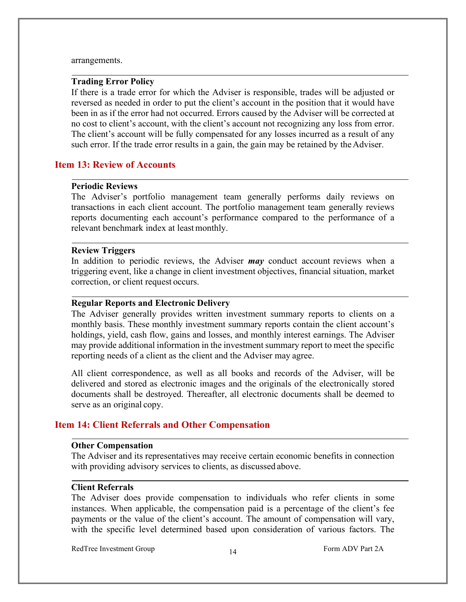#### arrangements.

#### **Trading Error Policy**

If there is a trade error for which the Adviser is responsible, trades will be adjusted or reversed as needed in order to put the client's account in the position that it would have been in as if the error had not occurred. Errors caused by the Adviser will be corrected at no cost to client's account, with the client's account not recognizing any loss from error. The client's account will be fully compensated for any losses incurred as a result of any such error. If the trade error results in a gain, the gain may be retained by the Adviser.

## **Item 13: Review of Accounts**

#### **Periodic Reviews**

The Adviser's portfolio management team generally performs daily reviews on transactions in each client account. The portfolio management team generally reviews reports documenting each account's performance compared to the performance of a relevant benchmark index at least monthly.

### **Review Triggers**

In addition to periodic reviews, the Adviser *may* conduct account reviews when a triggering event, like a change in client investment objectives, financial situation, market correction, or client request occurs.

#### **Regular Reports and Electronic Delivery**

The Adviser generally provides written investment summary reports to clients on a monthly basis. These monthly investment summary reports contain the client account's holdings, yield, cash flow, gains and losses, and monthly interest earnings. The Adviser may provide additional information in the investment summary report to meet the specific reporting needs of a client as the client and the Adviser may agree.

All client correspondence, as well as all books and records of the Adviser, will be delivered and stored as electronic images and the originals of the electronically stored documents shall be destroyed. Thereafter, all electronic documents shall be deemed to serve as an original copy.

## **Item 14: Client Referrals and Other Compensation**

#### <span id="page-16-0"></span>**Other Compensation**

The Adviser and its representatives may receive certain economic benefits in connection with providing advisory services to clients, as discussed above.

#### <span id="page-16-1"></span>**Client Referrals**

The Adviser does provide compensation to individuals who refer clients in some instances. When applicable, the compensation paid is a percentage of the client's fee payments or the value of the client's account. The amount of compensation will vary, with the specific level determined based upon consideration of various factors. The

RedTree Investment Group 14 Form ADV Part 2A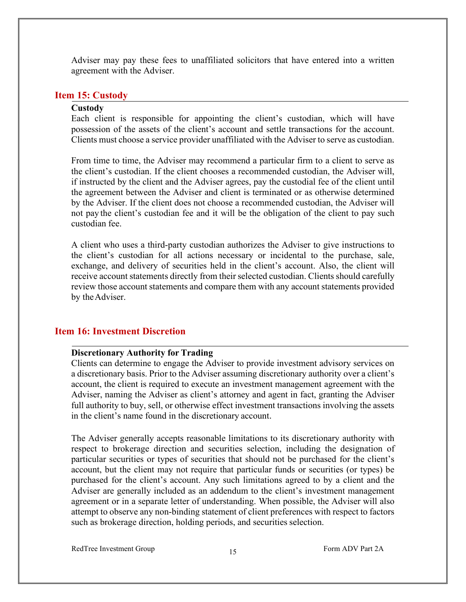Adviser may pay these fees to unaffiliated solicitors that have entered into a written agreement with the Adviser.

### <span id="page-17-0"></span>**Item 15: Custody**

#### **Custody**

Each client is responsible for appointing the client's custodian, which will have possession of the assets of the client's account and settle transactions for the account. Clients must choose a service provider unaffiliated with the Adviser to serve as custodian.

From time to time, the Adviser may recommend a particular firm to a client to serve as the client's custodian. If the client chooses a recommended custodian, the Adviser will, if instructed by the client and the Adviser agrees, pay the custodial fee of the client until the agreement between the Adviser and client is terminated or as otherwise determined by the Adviser. If the client does not choose a recommended custodian, the Adviser will not pay the client's custodian fee and it will be the obligation of the client to pay such custodian fee.

A client who uses a third-party custodian authorizes the Adviser to give instructions to the client's custodian for all actions necessary or incidental to the purchase, sale, exchange, and delivery of securities held in the client's account. Also, the client will receive account statements directly from their selected custodian. Clients should carefully review those account statements and compare them with any account statements provided by the Adviser.

## **Item 16: Investment Discretion**

#### **Discretionary Authority for Trading**

Clients can determine to engage the Adviser to provide investment advisory services on a discretionary basis. Prior to the Adviser assuming discretionary authority over a client's account, the client is required to execute an investment management agreement with the Adviser, naming the Adviser as client's attorney and agent in fact, granting the Adviser full authority to buy, sell, or otherwise effect investment transactions involving the assets in the client's name found in the discretionary account.

The Adviser generally accepts reasonable limitations to its discretionary authority with respect to brokerage direction and securities selection, including the designation of particular securities or types of securities that should not be purchased for the client's account, but the client may not require that particular funds or securities (or types) be purchased for the client's account. Any such limitations agreed to by a client and the Adviser are generally included as an addendum to the client's investment management agreement or in a separate letter of understanding. When possible, the Adviser will also attempt to observe any non-binding statement of client preferences with respect to factors such as brokerage direction, holding periods, and securities selection.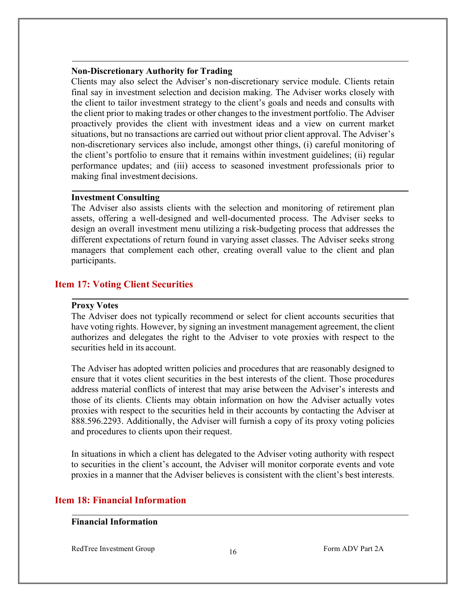#### **Non-Discretionary Authority for Trading**

Clients may also select the Adviser's non-discretionary service module. Clients retain final say in investment selection and decision making. The Adviser works closely with the client to tailor investment strategy to the client's goals and needs and consults with the client prior to making trades or other changes to the investment portfolio. The Adviser proactively provides the client with investment ideas and a view on current market situations, but no transactions are carried out without prior client approval. The Adviser's non-discretionary services also include, amongst other things, (i) careful monitoring of the client's portfolio to ensure that it remains within investment guidelines; (ii) regular performance updates; and (iii) access to seasoned investment professionals prior to making final investment decisions.

#### **Investment Consulting**

The Adviser also assists clients with the selection and monitoring of retirement plan assets, offering a well-designed and well-documented process. The Adviser seeks to design an overall investment menu utilizing a risk-budgeting process that addresses the different expectations of return found in varying asset classes. The Adviser seeks strong managers that complement each other, creating overall value to the client and plan participants.

## **Item 17: Voting Client Securities**

#### **Proxy Votes**

The Adviser does not typically recommend or select for client accounts securities that have voting rights. However, by signing an investment management agreement, the client authorizes and delegates the right to the Adviser to vote proxies with respect to the securities held in its account.

The Adviser has adopted written policies and procedures that are reasonably designed to ensure that it votes client securities in the best interests of the client. Those procedures address material conflicts of interest that may arise between the Adviser's interests and those of its clients. Clients may obtain information on how the Adviser actually votes proxies with respect to the securities held in their accounts by contacting the Adviser at 888.596.2293. Additionally, the Adviser will furnish a copy of its proxy voting policies and procedures to clients upon their request.

In situations in which a client has delegated to the Adviser voting authority with respect to securities in the client's account, the Adviser will monitor corporate events and vote proxies in a manner that the Adviser believes is consistent with the client's best interests.

## **Item 18: Financial Information**

## **Financial Information**

RedTree Investment Group 16 and 16 Form ADV Part 2A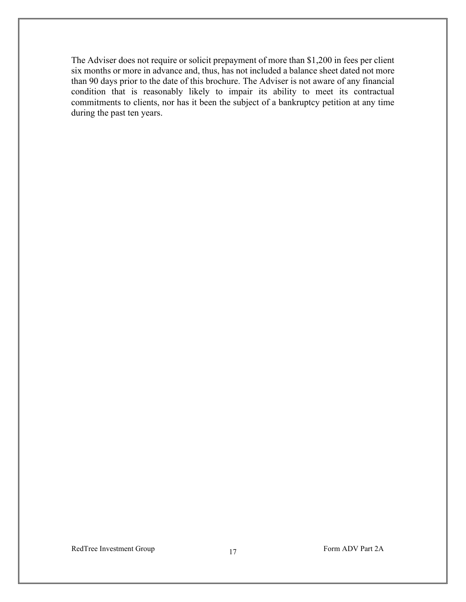The Adviser does not require or solicit prepayment of more than \$1,200 in fees per client six months or more in advance and, thus, has not included a balance sheet dated not more than 90 days prior to the date of this brochure. The Adviser is not aware of any financial condition that is reasonably likely to impair its ability to meet its contractual commitments to clients, nor has it been the subject of a bankruptcy petition at any time during the past ten years.